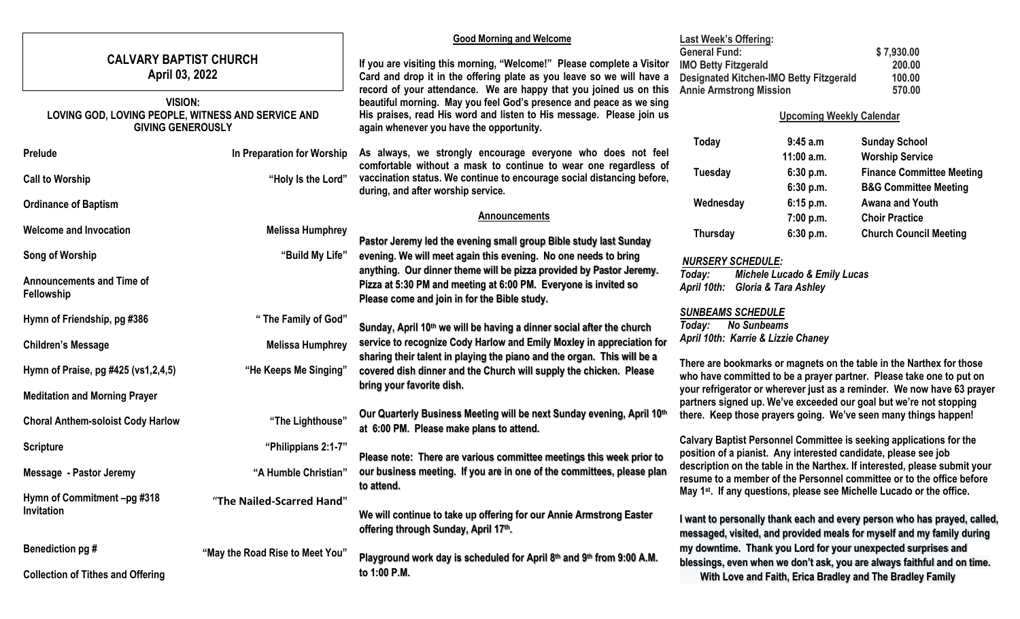|                                                                                                  |                                          |                                 | <b>Good Morning and Welcome</b>                                                                                                                                                         | <b>Last Week's Offering:</b><br><b>General Fund:</b><br>\$7,930.00                                                                                  |                                                          |                                                                          |  |
|--------------------------------------------------------------------------------------------------|------------------------------------------|---------------------------------|-----------------------------------------------------------------------------------------------------------------------------------------------------------------------------------------|-----------------------------------------------------------------------------------------------------------------------------------------------------|----------------------------------------------------------|--------------------------------------------------------------------------|--|
| <b>CALVARY BAPTIST CHURCH</b>                                                                    |                                          |                                 | If you are visiting this morning, "Welcome!" Please complete a Visitor                                                                                                                  | <b>IMO Betty Fitzgerald</b><br>200.00                                                                                                               |                                                          |                                                                          |  |
| April 03, 2022                                                                                   |                                          |                                 | Card and drop it in the offering plate as you leave so we will have a                                                                                                                   |                                                                                                                                                     | 100.00<br><b>Designated Kitchen-IMO Betty Fitzgerald</b> |                                                                          |  |
|                                                                                                  |                                          |                                 | record of your attendance. We are happy that you joined us on this                                                                                                                      | <b>Annie Armstrong Mission</b><br>570.00                                                                                                            |                                                          |                                                                          |  |
| <b>VISION:</b><br>LOVING GOD, LOVING PEOPLE, WITNESS AND SERVICE AND<br><b>GIVING GENEROUSLY</b> |                                          |                                 | beautiful morning. May you feel God's presence and peace as we sing<br>His praises, read His word and listen to His message. Please join us<br>again whenever you have the opportunity. | <b>Upcoming Weekly Calendar</b>                                                                                                                     |                                                          |                                                                          |  |
|                                                                                                  |                                          |                                 |                                                                                                                                                                                         | <b>Today</b>                                                                                                                                        | 9:45 a.m                                                 | <b>Sunday School</b>                                                     |  |
|                                                                                                  | Prelude                                  | In Preparation for Worship      | As always, we strongly encourage everyone who does not feel                                                                                                                             |                                                                                                                                                     | 11:00 a.m.                                               | <b>Worship Service</b>                                                   |  |
|                                                                                                  |                                          |                                 | comfortable without a mask to continue to wear one regardless of<br>vaccination status. We continue to encourage social distancing before,                                              | <b>Tuesday</b>                                                                                                                                      | 6:30 p.m.                                                | <b>Finance Committee Meeting</b>                                         |  |
|                                                                                                  | <b>Call to Worship</b>                   | "Holy Is the Lord"              | during, and after worship service.                                                                                                                                                      |                                                                                                                                                     | 6:30 p.m.                                                | <b>B&amp;G Committee Meeting</b>                                         |  |
|                                                                                                  | <b>Ordinance of Baptism</b>              |                                 |                                                                                                                                                                                         | Wednesday                                                                                                                                           | 6:15 p.m.                                                | <b>Awana and Youth</b>                                                   |  |
|                                                                                                  |                                          |                                 | <b>Announcements</b>                                                                                                                                                                    |                                                                                                                                                     | 7:00 p.m.                                                | <b>Choir Practice</b>                                                    |  |
|                                                                                                  | <b>Welcome and Invocation</b>            | <b>Melissa Humphrey</b>         | Pastor Jeremy led the evening small group Bible study last Sunday                                                                                                                       | <b>Thursday</b>                                                                                                                                     | 6:30 p.m.                                                | <b>Church Council Meeting</b>                                            |  |
|                                                                                                  | Song of Worship                          | "Build My Life"                 | evening. We will meet again this evening. No one needs to bring                                                                                                                         | <b>NURSERY SCHEDULE:</b>                                                                                                                            |                                                          |                                                                          |  |
|                                                                                                  |                                          |                                 | anything. Our dinner theme will be pizza provided by Pastor Jeremy.                                                                                                                     | Today:<br><b>Michele Lucado &amp; Emily Lucas</b>                                                                                                   |                                                          |                                                                          |  |
|                                                                                                  | <b>Announcements and Time of</b>         |                                 | Pizza at 5:30 PM and meeting at 6:00 PM. Everyone is invited so                                                                                                                         | April 10th:                                                                                                                                         | <b>Gloria &amp; Tara Ashley</b>                          |                                                                          |  |
|                                                                                                  | Fellowship                               |                                 | Please come and join in for the Bible study.                                                                                                                                            |                                                                                                                                                     |                                                          |                                                                          |  |
|                                                                                                  | Hymn of Friendship, pg #386              | " The Family of God"            |                                                                                                                                                                                         | <b>SUNBEAMS SCHEDULE</b>                                                                                                                            |                                                          |                                                                          |  |
|                                                                                                  |                                          |                                 | Sunday, April 10 <sup>th</sup> we will be having a dinner social after the church                                                                                                       | Today:                                                                                                                                              | <b>No Sunbeams</b>                                       |                                                                          |  |
|                                                                                                  | <b>Children's Message</b>                | <b>Melissa Humphrey</b>         | service to recognize Cody Harlow and Emily Moxley in appreciation for                                                                                                                   | April 10th: Karrie & Lizzie Chaney                                                                                                                  |                                                          |                                                                          |  |
|                                                                                                  |                                          |                                 | sharing their talent in playing the piano and the organ. This will be a                                                                                                                 |                                                                                                                                                     |                                                          | There are bookmarks or magnets on the table in the Narthex for those     |  |
|                                                                                                  | Hymn of Praise, pg #425 (vs1,2,4,5)      | "He Keeps Me Singing"           | covered dish dinner and the Church will supply the chicken. Please                                                                                                                      |                                                                                                                                                     |                                                          | who have committed to be a prayer partner. Please take one to put on     |  |
|                                                                                                  | <b>Meditation and Morning Prayer</b>     |                                 | bring your favorite dish.                                                                                                                                                               |                                                                                                                                                     |                                                          | your refrigerator or wherever just as a reminder. We now have 63 prayer  |  |
|                                                                                                  |                                          |                                 |                                                                                                                                                                                         |                                                                                                                                                     |                                                          | partners signed up. We've exceeded our goal but we're not stopping       |  |
|                                                                                                  | <b>Choral Anthem-soloist Cody Harlow</b> | "The Lighthouse"                | Our Quarterly Business Meeting will be next Sunday evening, April 10th                                                                                                                  |                                                                                                                                                     |                                                          | there. Keep those prayers going. We've seen many things happen!          |  |
|                                                                                                  |                                          |                                 | at 6:00 PM. Please make plans to attend.                                                                                                                                                |                                                                                                                                                     |                                                          | Calvary Baptist Personnel Committee is seeking applications for the      |  |
|                                                                                                  | <b>Scripture</b>                         | "Philippians 2:1-7"             |                                                                                                                                                                                         | position of a pianist. Any interested candidate, please see job                                                                                     |                                                          |                                                                          |  |
| Message - Pastor Jeremy                                                                          |                                          | "A Humble Christian"            | Please note: There are various committee meetings this week prior to<br>our business meeting. If you are in one of the committees, please plan                                          | description on the table in the Narthex. If interested, please submit your<br>resume to a member of the Personnel committee or to the office before |                                                          |                                                                          |  |
|                                                                                                  |                                          |                                 |                                                                                                                                                                                         |                                                                                                                                                     |                                                          |                                                                          |  |
|                                                                                                  | <b>Invitation</b>                        | "The Nailed-Scarred Hand"       |                                                                                                                                                                                         |                                                                                                                                                     |                                                          |                                                                          |  |
|                                                                                                  |                                          |                                 | We will continue to take up offering for our Annie Armstrong Easter                                                                                                                     |                                                                                                                                                     |                                                          | I want to personally thank each and every person who has prayed, called, |  |
|                                                                                                  |                                          |                                 | offering through Sunday, April 17th.                                                                                                                                                    |                                                                                                                                                     |                                                          | messaged, visited, and provided meals for myself and my family during    |  |
|                                                                                                  | Benediction pg #                         | "May the Road Rise to Meet You" |                                                                                                                                                                                         |                                                                                                                                                     |                                                          | my downtime. Thank you Lord for your unexpected surprises and            |  |
|                                                                                                  |                                          |                                 | Playground work day is scheduled for April 8th and 9th from 9:00 A.M.                                                                                                                   |                                                                                                                                                     |                                                          | blessings, even when we don't ask, you are always faithful and on time.  |  |
|                                                                                                  | <b>Collection of Tithes and Offering</b> |                                 | to 1:00 P.M.                                                                                                                                                                            |                                                                                                                                                     |                                                          | With Love and Faith, Erica Bradley and The Bradley Family                |  |
|                                                                                                  |                                          |                                 |                                                                                                                                                                                         |                                                                                                                                                     |                                                          |                                                                          |  |